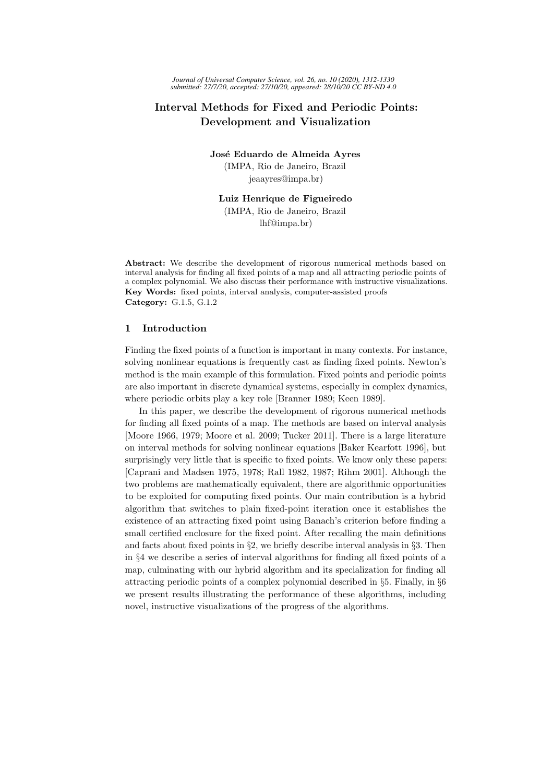# Interval Methods for Fixed and Periodic Points: Development and Visualization

José Eduardo de Almeida Ayres (IMPA, Rio de Janeiro, Brazil jeaayres@impa.br)

Luiz Henrique de Figueiredo (IMPA, Rio de Janeiro, Brazil lhf@impa.br)

Abstract: We describe the development of rigorous numerical methods based on interval analysis for finding all fixed points of a map and all attracting periodic points of a complex polynomial. We also discuss their performance with instructive visualizations. Key Words: fixed points, interval analysis, computer-assisted proofs Category: G.1.5, G.1.2

## 1 Introduction

Finding the fixed points of a function is important in many contexts. For instance, solving nonlinear equations is frequently cast as finding fixed points. Newton's method is the main example of this formulation. Fixed points and periodic points are also important in discrete dynamical systems, especially in complex dynamics, where periodic orbits play a key role [Branner 1989; Keen 1989].

In this paper, we describe the development of rigorous numerical methods for finding all fixed points of a map. The methods are based on interval analysis [Moore 1966, 1979; Moore et al. 2009; Tucker 2011]. There is a large literature on interval methods for solving nonlinear equations [Baker Kearfott 1996], but surprisingly very little that is specific to fixed points. We know only these papers: [Caprani and Madsen 1975, 1978; Rall 1982, 1987; Rihm 2001]. Although the two problems are mathematically equivalent, there are algorithmic opportunities to be exploited for computing fixed points. Our main contribution is a hybrid algorithm that switches to plain fixed-point iteration once it establishes the existence of an attracting fixed point using Banach's criterion before finding a small certified enclosure for the fixed point. After recalling the main definitions and facts about fixed points in §2, we briefly describe interval analysis in §3. Then in §4 we describe a series of interval algorithms for finding all fixed points of a map, culminating with our hybrid algorithm and its specialization for finding all attracting periodic points of a complex polynomial described in §5. Finally, in §6 we present results illustrating the performance of these algorithms, including novel, instructive visualizations of the progress of the algorithms.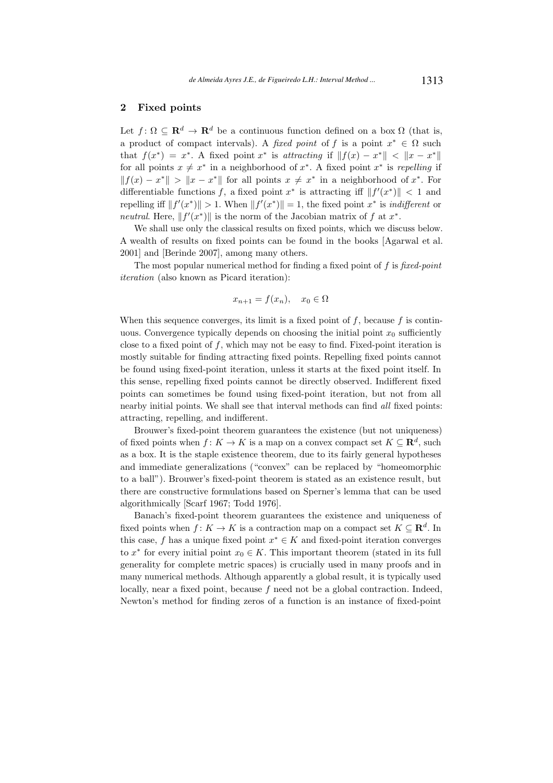## 2 Fixed points

Let  $f: \Omega \subseteq \mathbf{R}^d \to \mathbf{R}^d$  be a continuous function defined on a box  $\Omega$  (that is, a product of compact intervals). A fixed point of f is a point  $x^* \in \Omega$  such that  $f(x^*) = x^*$ . A fixed point  $x^*$  is attracting if  $||f(x) - x^*|| < ||x - x^*||$ for all points  $x \neq x^*$  in a neighborhood of  $x^*$ . A fixed point  $x^*$  is repelling if  $|| f(x) - x^* || > ||x - x^*||$  for all points  $x \neq x^*$  in a neighborhood of  $x^*$ . For differentiable functions f, a fixed point  $x^*$  is attracting iff  $||f'(x^*)|| < 1$  and repelling iff  $||f'(x^*)|| > 1$ . When  $||f'(x^*)|| = 1$ , the fixed point  $x^*$  is *indifferent* or neutral. Here,  $||f'(x^*)||$  is the norm of the Jacobian matrix of f at  $x^*$ .

We shall use only the classical results on fixed points, which we discuss below. A wealth of results on fixed points can be found in the books [Agarwal et al. 2001] and [Berinde 2007], among many others.

The most popular numerical method for finding a fixed point of  $f$  is fixed-point iteration (also known as Picard iteration):

$$
x_{n+1} = f(x_n), \quad x_0 \in \Omega
$$

When this sequence converges, its limit is a fixed point of  $f$ , because  $f$  is continuous. Convergence typically depends on choosing the initial point  $x_0$  sufficiently close to a fixed point of f, which may not be easy to find. Fixed-point iteration is mostly suitable for finding attracting fixed points. Repelling fixed points cannot be found using fixed-point iteration, unless it starts at the fixed point itself. In this sense, repelling fixed points cannot be directly observed. Indifferent fixed points can sometimes be found using fixed-point iteration, but not from all nearby initial points. We shall see that interval methods can find all fixed points: attracting, repelling, and indifferent.

Brouwer's fixed-point theorem guarantees the existence (but not uniqueness) of fixed points when  $f: K \to K$  is a map on a convex compact set  $K \subseteq \mathbb{R}^d$ , such as a box. It is the staple existence theorem, due to its fairly general hypotheses and immediate generalizations ("convex" can be replaced by "homeomorphic to a ball"). Brouwer's fixed-point theorem is stated as an existence result, but there are constructive formulations based on Sperner's lemma that can be used algorithmically [Scarf 1967; Todd 1976].

Banach's fixed-point theorem guarantees the existence and uniqueness of fixed points when  $f: K \to K$  is a contraction map on a compact set  $K \subseteq \mathbb{R}^d$ . In this case, f has a unique fixed point  $x^* \in K$  and fixed-point iteration converges to  $x^*$  for every initial point  $x_0 \in K$ . This important theorem (stated in its full generality for complete metric spaces) is crucially used in many proofs and in many numerical methods. Although apparently a global result, it is typically used locally, near a fixed point, because f need not be a global contraction. Indeed, Newton's method for finding zeros of a function is an instance of fixed-point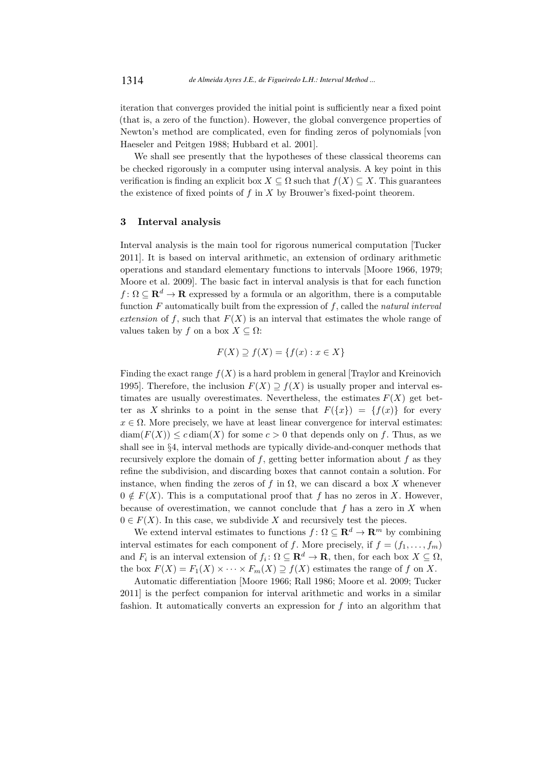iteration that converges provided the initial point is sufficiently near a fixed point (that is, a zero of the function). However, the global convergence properties of Newton's method are complicated, even for finding zeros of polynomials [von Haeseler and Peitgen 1988; Hubbard et al. 2001].

We shall see presently that the hypotheses of these classical theorems can be checked rigorously in a computer using interval analysis. A key point in this verification is finding an explicit box  $X \subseteq \Omega$  such that  $f(X) \subseteq X$ . This guarantees the existence of fixed points of  $f$  in  $X$  by Brouwer's fixed-point theorem.

# 3 Interval analysis

Interval analysis is the main tool for rigorous numerical computation [Tucker 2011]. It is based on interval arithmetic, an extension of ordinary arithmetic operations and standard elementary functions to intervals [Moore 1966, 1979; Moore et al. 2009]. The basic fact in interval analysis is that for each function  $f: \Omega \subseteq \mathbf{R}^d \to \mathbf{R}$  expressed by a formula or an algorithm, there is a computable function  $F$  automatically built from the expression of  $f$ , called the natural interval extension of f, such that  $F(X)$  is an interval that estimates the whole range of values taken by f on a box  $X \subseteq \Omega$ :

$$
F(X) \supseteq f(X) = \{f(x) : x \in X\}
$$

Finding the exact range  $f(X)$  is a hard problem in general [Traylor and Kreinovich] 1995]. Therefore, the inclusion  $F(X) \supseteq f(X)$  is usually proper and interval estimates are usually overestimates. Nevertheless, the estimates  $F(X)$  get better as X shrinks to a point in the sense that  $F({x}) = {f(x)}$  for every  $x \in \Omega$ . More precisely, we have at least linear convergence for interval estimates:  $\text{diam}(F(X)) \leq c \text{ diam}(X)$  for some  $c > 0$  that depends only on f. Thus, as we shall see in §4, interval methods are typically divide-and-conquer methods that recursively explore the domain of  $f$ , getting better information about  $f$  as they refine the subdivision, and discarding boxes that cannot contain a solution. For instance, when finding the zeros of f in  $\Omega$ , we can discard a box X whenever  $0 \notin F(X)$ . This is a computational proof that f has no zeros in X. However, because of overestimation, we cannot conclude that  $f$  has a zero in  $X$  when  $0 \in F(X)$ . In this case, we subdivide X and recursively test the pieces.

We extend interval estimates to functions  $f: \Omega \subseteq \mathbb{R}^d \to \mathbb{R}^m$  by combining interval estimates for each component of f. More precisely, if  $f = (f_1, \ldots, f_m)$ and  $F_i$  is an interval extension of  $f_i: \Omega \subseteq \mathbf{R}^d \to \mathbf{R}$ , then, for each box  $X \subseteq \Omega$ , the box  $F(X) = F_1(X) \times \cdots \times F_m(X) \supseteq f(X)$  estimates the range of f on X.

Automatic differentiation [Moore 1966; Rall 1986; Moore et al. 2009; Tucker 2011] is the perfect companion for interval arithmetic and works in a similar fashion. It automatically converts an expression for  $f$  into an algorithm that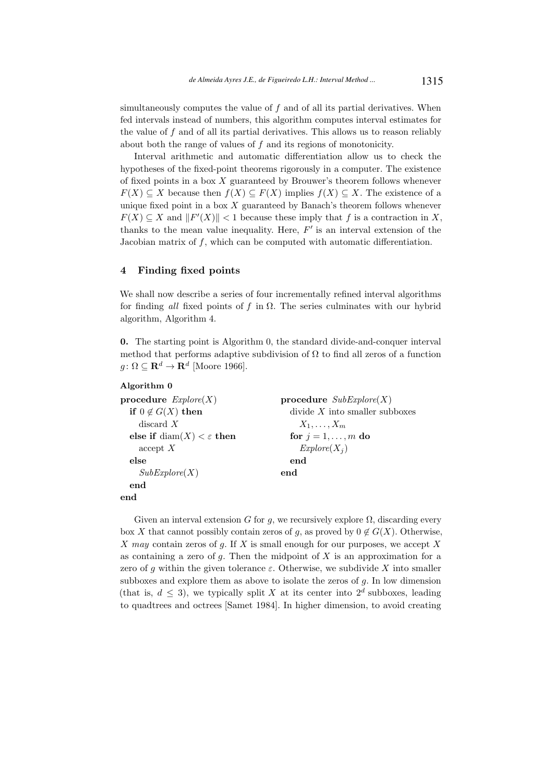simultaneously computes the value of  $f$  and of all its partial derivatives. When fed intervals instead of numbers, this algorithm computes interval estimates for the value of  $f$  and of all its partial derivatives. This allows us to reason reliably about both the range of values of  $f$  and its regions of monotonicity.

Interval arithmetic and automatic differentiation allow us to check the hypotheses of the fixed-point theorems rigorously in a computer. The existence of fixed points in a box  $X$  guaranteed by Brouwer's theorem follows whenever  $F(X) \subset X$  because then  $f(X) \subset F(X)$  implies  $f(X) \subset X$ . The existence of a unique fixed point in a box  $X$  guaranteed by Banach's theorem follows whenever  $F(X) \subseteq X$  and  $||F'(X)|| < 1$  because these imply that f is a contraction in X, thanks to the mean value inequality. Here,  $F'$  is an interval extension of the Jacobian matrix of f, which can be computed with automatic differentiation.

## 4 Finding fixed points

Algorithm 0

We shall now describe a series of four incrementally refined interval algorithms for finding all fixed points of f in  $\Omega$ . The series culminates with our hybrid algorithm, Algorithm 4.

0. The starting point is Algorithm 0, the standard divide-and-conquer interval method that performs adaptive subdivision of  $\Omega$  to find all zeros of a function  $g \colon \Omega \subseteq \mathbf{R}^d \to \mathbf{R}^d$  [Moore 1966].

```
procedure Explore(X)if 0 \notin G(X) then
    discard X
  else if \text{diam}(X) < \varepsilon then
    accept X
  else
    SubExplore(X)end
end
                                         procedure SubExplore(X)divide X into smaller subboxes
                                              X_1, \ldots, X_mfor j = 1, \ldots, m do
                                              Explore(X_i)end
                                         end
```
Given an interval extension G for g, we recursively explore  $\Omega$ , discarding every box X that cannot possibly contain zeros of g, as proved by  $0 \notin G(X)$ . Otherwise, X may contain zeros of g. If X is small enough for our purposes, we accept  $X$ as containing a zero of  $g$ . Then the midpoint of  $X$  is an approximation for a zero of q within the given tolerance  $\varepsilon$ . Otherwise, we subdivide X into smaller subboxes and explore them as above to isolate the zeros of  $g$ . In low dimension (that is,  $d \leq 3$ ), we typically split X at its center into  $2^d$  subboxes, leading to quadtrees and octrees [Samet 1984]. In higher dimension, to avoid creating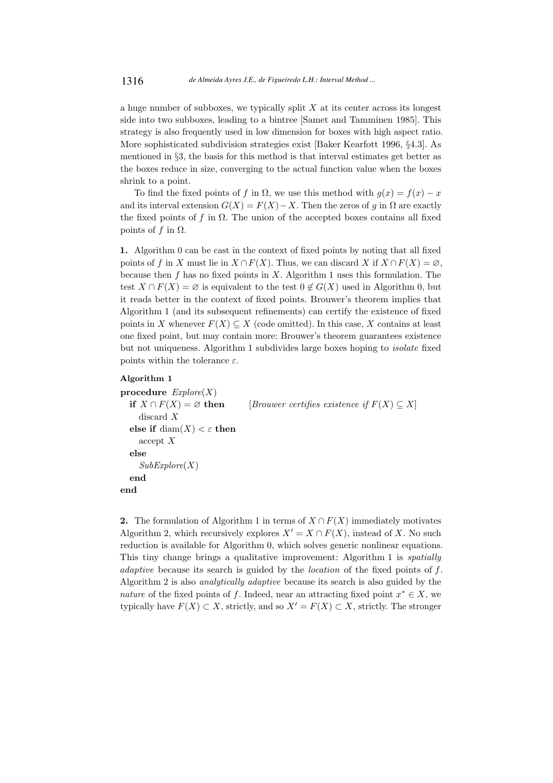a huge number of subboxes, we typically split  $X$  at its center across its longest side into two subboxes, leading to a bintree [Samet and Tamminen 1985]. This strategy is also frequently used in low dimension for boxes with high aspect ratio. More sophisticated subdivision strategies exist [Baker Kearfott 1996, §4.3]. As mentioned in §3, the basis for this method is that interval estimates get better as the boxes reduce in size, converging to the actual function value when the boxes shrink to a point.

To find the fixed points of f in  $\Omega$ , we use this method with  $g(x) = f(x) - x$ and its interval extension  $G(X) = F(X) - X$ . Then the zeros of g in  $\Omega$  are exactly the fixed points of f in  $\Omega$ . The union of the accepted boxes contains all fixed points of f in  $Ω$ .

1. Algorithm 0 can be cast in the context of fixed points by noting that all fixed points of f in X must lie in  $X \cap F(X)$ . Thus, we can discard X if  $X \cap F(X) = \emptyset$ , because then  $f$  has no fixed points in  $X$ . Algorithm 1 uses this formulation. The test  $X \cap F(X) = \emptyset$  is equivalent to the test  $0 \notin G(X)$  used in Algorithm 0, but it reads better in the context of fixed points. Brouwer's theorem implies that Algorithm 1 (and its subsequent refinements) can certify the existence of fixed points in X whenever  $F(X) \subseteq X$  (code omitted). In this case, X contains at least one fixed point, but may contain more: Brouwer's theorem guarantees existence but not uniqueness. Algorithm 1 subdivides large boxes hoping to isolate fixed points within the tolerance  $\varepsilon$ .

#### Algorithm 1

```
procedure Explore(X)if X \cap F(X) = \emptyset then [Brouwer certifies existence if F(X) \subseteq X]
    discard X
  else if \text{diam}(X) < \varepsilon then
    accept X
  else
     SubExplore(X)end
end
```
2. The formulation of Algorithm 1 in terms of  $X \cap F(X)$  immediately motivates Algorithm 2, which recursively explores  $X' = X \cap F(X)$ , instead of X. No such reduction is available for Algorithm 0, which solves generic nonlinear equations. This tiny change brings a qualitative improvement: Algorithm 1 is spatially adaptive because its search is guided by the location of the fixed points of f. Algorithm 2 is also analytically adaptive because its search is also guided by the nature of the fixed points of f. Indeed, near an attracting fixed point  $x^* \in X$ , we typically have  $F(X) \subset X$ , strictly, and so  $X' = F(X) \subset X$ , strictly. The stronger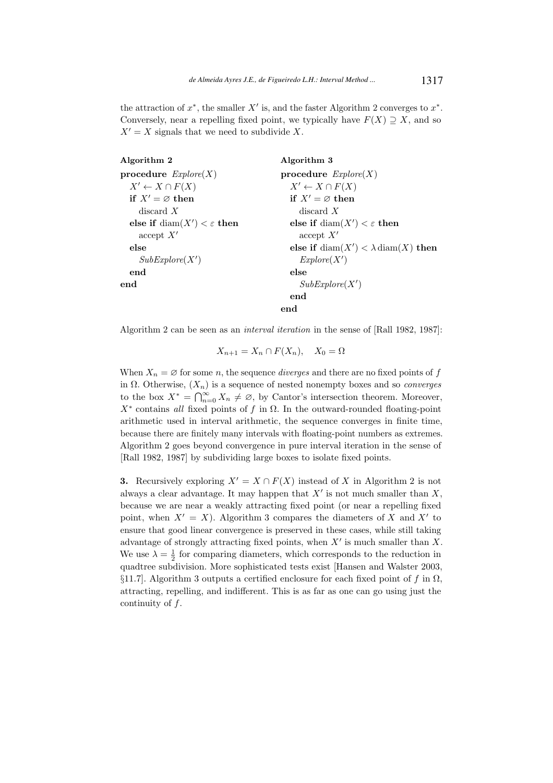the attraction of  $x^*$ , the smaller  $X'$  is, and the faster Algorithm 2 converges to  $x^*$ . Conversely, near a repelling fixed point, we typically have  $F(X) \supseteq X$ , and so  $X' = X$  signals that we need to subdivide X.

| Algorithm 2                                  | Algorithm 3                                             |
|----------------------------------------------|---------------------------------------------------------|
| procedure $Explore(X)$                       | procedure $Explore(X)$                                  |
| $X' \leftarrow X \cap F(X)$                  | $X' \leftarrow X \cap F(X)$                             |
| if $X' = \emptyset$ then                     | if $X' = \emptyset$ then                                |
| discard $X$                                  | discard $X$                                             |
| else if $\text{diam}(X') < \varepsilon$ then | else if $\text{diam}(X') < \varepsilon$ then            |
| accept X'                                    | accept X'                                               |
| else                                         | else if $\text{diam}(X') < \lambda \text{diam}(X)$ then |
| SubExplore(X')                               | Explore(X')                                             |
| end                                          | else                                                    |
| end                                          | SubExplore(X')                                          |
|                                              | end                                                     |
|                                              | end                                                     |

Algorithm 2 can be seen as an interval iteration in the sense of [Rall 1982, 1987]:

$$
X_{n+1} = X_n \cap F(X_n), \quad X_0 = \Omega
$$

When  $X_n = \emptyset$  for some n, the sequence *diverges* and there are no fixed points of f in  $\Omega$ . Otherwise,  $(X_n)$  is a sequence of nested nonempty boxes and so *converges* to the box  $X^* = \bigcap_{n=0}^{\infty} X_n \neq \emptyset$ , by Cantor's intersection theorem. Moreover,  $X^*$  contains all fixed points of f in  $\Omega$ . In the outward-rounded floating-point arithmetic used in interval arithmetic, the sequence converges in finite time, because there are finitely many intervals with floating-point numbers as extremes. Algorithm 2 goes beyond convergence in pure interval iteration in the sense of [Rall 1982, 1987] by subdividing large boxes to isolate fixed points.

**3.** Recursively exploring  $X' = X \cap F(X)$  instead of X in Algorithm 2 is not always a clear advantage. It may happen that  $X'$  is not much smaller than  $X$ , because we are near a weakly attracting fixed point (or near a repelling fixed point, when  $X' = X$ ). Algorithm 3 compares the diameters of X and X' to ensure that good linear convergence is preserved in these cases, while still taking advantage of strongly attracting fixed points, when  $X'$  is much smaller than  $X$ . We use  $\lambda = \frac{1}{2}$  for comparing diameters, which corresponds to the reduction in quadtree subdivision. More sophisticated tests exist [Hansen and Walster 2003, §11.7]. Algorithm 3 outputs a certified enclosure for each fixed point of f in  $\Omega$ , attracting, repelling, and indifferent. This is as far as one can go using just the continuity of  $f$ .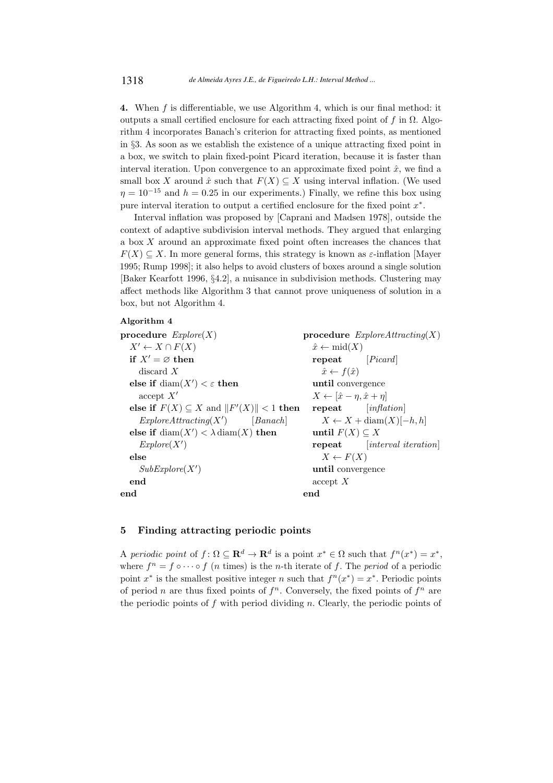4. When f is differentiable, we use Algorithm 4, which is our final method: it outputs a small certified enclosure for each attracting fixed point of f in  $\Omega$ . Algorithm 4 incorporates Banach's criterion for attracting fixed points, as mentioned in §3. As soon as we establish the existence of a unique attracting fixed point in a box, we switch to plain fixed-point Picard iteration, because it is faster than interval iteration. Upon convergence to an approximate fixed point  $\hat{x}$ , we find a small box X around  $\hat{x}$  such that  $F(X) \subseteq X$  using interval inflation. (We used  $n = 10^{-15}$  and  $h = 0.25$  in our experiments.) Finally, we refine this box using pure interval iteration to output a certified enclosure for the fixed point  $x^*$ .

Interval inflation was proposed by [Caprani and Madsen 1978], outside the context of adaptive subdivision interval methods. They argued that enlarging a box  $X$  around an approximate fixed point often increases the chances that  $F(X) \subseteq X$ . In more general forms, this strategy is known as  $\varepsilon$ -inflation [Mayer 1995; Rump 1998]; it also helps to avoid clusters of boxes around a single solution [Baker Kearfott 1996, §4.2], a nuisance in subdivision methods. Clustering may affect methods like Algorithm 3 that cannot prove uniqueness of solution in a box, but not Algorithm 4.

#### Algorithm 4

procedure  $Explore(X)$  $X' \leftarrow X \cap F(X)$ if  $X' = \emptyset$  then discard X else if  $\text{diam}(X') < \varepsilon$  then accept  $X'$ else if  $F(X) \subseteq X$  and  $||F'(X)|| < 1$  then  $ExploreAttracting(X')$ [Banach] else if  $\text{diam}(X') < \lambda \text{diam}(X)$  then  $Explore(X')$ else  $SubExplore(X')$ end end procedure  $ExploreAttracting(X)$  $\hat{x} \leftarrow \text{mid}(X)$ repeat [Picard]  $\hat{x} \leftarrow f(\hat{x})$ until convergence  $X \leftarrow [\hat{x} - \eta, \hat{x} + \eta]$ repeat [inflation]  $X \leftarrow X + \text{diam}(X)[-h, h]$ until  $F(X) \subseteq X$ repeat [interval iteration]  $X \leftarrow F(X)$ until convergence accept X end

# 5 Finding attracting periodic points

A periodic point of  $f: \Omega \subseteq \mathbf{R}^d \to \mathbf{R}^d$  is a point  $x^* \in \Omega$  such that  $f^n(x^*) = x^*$ , where  $f^n = f \circ \cdots \circ f$  (*n* times) is the *n*-th iterate of *f*. The *period* of a periodic point  $x^*$  is the smallest positive integer n such that  $f^n(x^*) = x^*$ . Periodic points of period n are thus fixed points of  $f<sup>n</sup>$ . Conversely, the fixed points of  $f<sup>n</sup>$  are the periodic points of  $f$  with period dividing n. Clearly, the periodic points of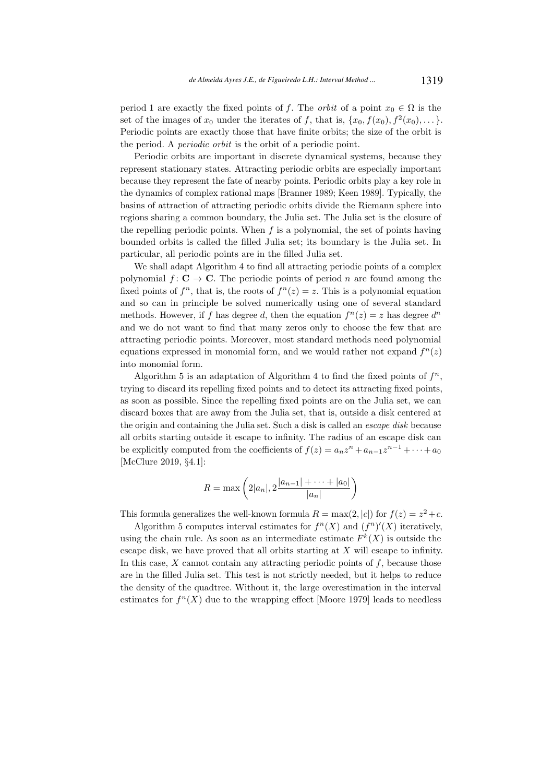period 1 are exactly the fixed points of f. The *orbit* of a point  $x_0 \in \Omega$  is the set of the images of  $x_0$  under the iterates of f, that is,  $\{x_0, f(x_0), f^2(x_0), \dots\}$ . Periodic points are exactly those that have finite orbits; the size of the orbit is the period. A periodic orbit is the orbit of a periodic point.

Periodic orbits are important in discrete dynamical systems, because they represent stationary states. Attracting periodic orbits are especially important because they represent the fate of nearby points. Periodic orbits play a key role in the dynamics of complex rational maps [Branner 1989; Keen 1989]. Typically, the basins of attraction of attracting periodic orbits divide the Riemann sphere into regions sharing a common boundary, the Julia set. The Julia set is the closure of the repelling periodic points. When  $f$  is a polynomial, the set of points having bounded orbits is called the filled Julia set; its boundary is the Julia set. In particular, all periodic points are in the filled Julia set.

We shall adapt Algorithm 4 to find all attracting periodic points of a complex polynomial  $f: \mathbf{C} \to \mathbf{C}$ . The periodic points of period n are found among the fixed points of  $f^n$ , that is, the roots of  $f^n(z) = z$ . This is a polynomial equation and so can in principle be solved numerically using one of several standard methods. However, if f has degree d, then the equation  $f^{(n)}(z) = z$  has degree  $d^{(n)}$ and we do not want to find that many zeros only to choose the few that are attracting periodic points. Moreover, most standard methods need polynomial equations expressed in monomial form, and we would rather not expand  $f^{(n)}(z)$ into monomial form.

Algorithm 5 is an adaptation of Algorithm 4 to find the fixed points of  $f^n$ , trying to discard its repelling fixed points and to detect its attracting fixed points, as soon as possible. Since the repelling fixed points are on the Julia set, we can discard boxes that are away from the Julia set, that is, outside a disk centered at the origin and containing the Julia set. Such a disk is called an escape disk because all orbits starting outside it escape to infinity. The radius of an escape disk can be explicitly computed from the coefficients of  $f(z) = a_n z^n + a_{n-1} z^{n-1} + \cdots + a_0$ [McClure 2019, §4.1]:

$$
R = \max\left(2|a_n|, 2\frac{|a_{n-1}| + \dots + |a_0|}{|a_n|}\right)
$$

This formula generalizes the well-known formula  $R = \max(2, |c|)$  for  $f(z) = z^2 + c$ .

Algorithm 5 computes interval estimates for  $f^{n}(X)$  and  $(f^{n})'(X)$  iteratively, using the chain rule. As soon as an intermediate estimate  $F^k(X)$  is outside the escape disk, we have proved that all orbits starting at X will escape to infinity. In this case,  $X$  cannot contain any attracting periodic points of  $f$ , because those are in the filled Julia set. This test is not strictly needed, but it helps to reduce the density of the quadtree. Without it, the large overestimation in the interval estimates for  $f^{n}(X)$  due to the wrapping effect [Moore 1979] leads to needless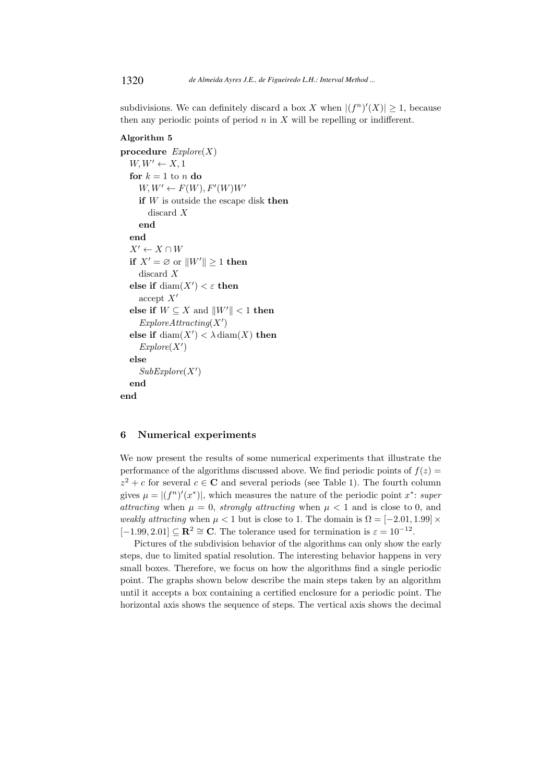subdivisions. We can definitely discard a box X when  $|(f^n)'(X)| \geq 1$ , because then any periodic points of period  $n$  in  $X$  will be repelling or indifferent.

## Algorithm 5

```
procedure Explore(X)W, W' \leftarrow X, 1for k = 1 to n do
     W, W' \leftarrow F(W), F'(W)W'if W is outside the escape disk then
       discard X
     end
  end
  X' \leftarrow X \cap Wif X' = \emptyset or ||W'|| \ge 1 then
     discard X
  else if \text{diam}(X') < \varepsilon then
     accept X'else if W \subseteq X and ||W'|| < 1 then
     ExploreAttracting(X')else if \text{diam}(X') < \lambda \text{diam}(X) then
     Explore(X')else
     SubExplore(X')end
end
```
# 6 Numerical experiments

We now present the results of some numerical experiments that illustrate the performance of the algorithms discussed above. We find periodic points of  $f(z)$  =  $z^2 + c$  for several  $c \in \mathbb{C}$  and several periods (see Table 1). The fourth column gives  $\mu = |(f^n)'(x^*)|$ , which measures the nature of the periodic point  $x^*$ : super attracting when  $\mu = 0$ , strongly attracting when  $\mu < 1$  and is close to 0, and weakly attracting when  $\mu < 1$  but is close to 1. The domain is  $\Omega = [-2.01, 1.99] \times$  $[-1.99, 2.01] \subseteq \mathbb{R}^2 \cong \mathbb{C}$ . The tolerance used for termination is  $\varepsilon = 10^{-12}$ .

Pictures of the subdivision behavior of the algorithms can only show the early steps, due to limited spatial resolution. The interesting behavior happens in very small boxes. Therefore, we focus on how the algorithms find a single periodic point. The graphs shown below describe the main steps taken by an algorithm until it accepts a box containing a certified enclosure for a periodic point. The horizontal axis shows the sequence of steps. The vertical axis shows the decimal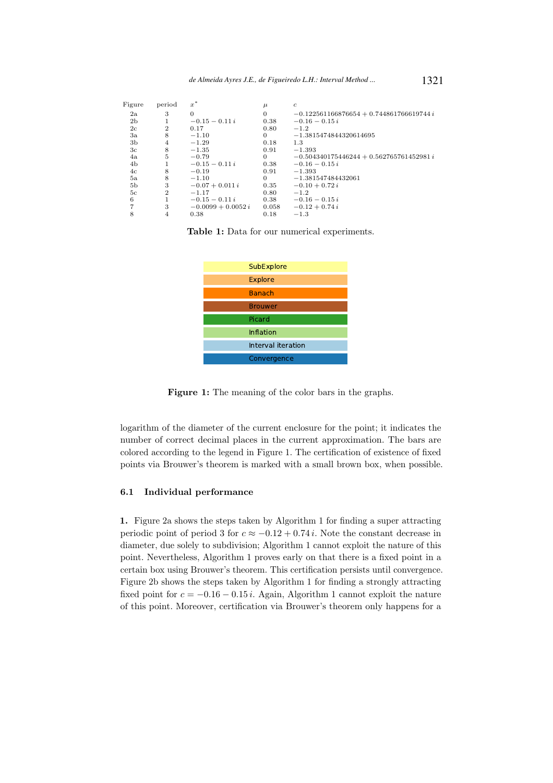| Figure         | period         | $x^*$                | $\mu$    | $\boldsymbol{c}$                           |
|----------------|----------------|----------------------|----------|--------------------------------------------|
| 2a             | 3              | $\theta$             | $\theta$ | $-0.122561166876654 + 0.744861766619744 i$ |
| 2 <sub>b</sub> |                | $-0.15 - 0.11i$      | 0.38     | $-0.16 - 0.15 i$                           |
| 2c             | $\overline{2}$ | 0.17                 | 0.80     | $-1.2$                                     |
| 3a             | 8              | $-1.10$              | $\Omega$ | $-1.3815474844320614695$                   |
| 3b             | 4              | $-1.29$              | 0.18     | 1.3                                        |
| 3 <sub>c</sub> | 8              | $-1.35$              | 0.91     | $-1.393$                                   |
| 4a             | 5              | $-0.79$              | $\Omega$ | $-0.504340175446244 + 0.562765761452981 i$ |
| 4b             |                | $-0.15 - 0.11i$      | 0.38     | $-0.16 - 0.15 i$                           |
| 4c             | 8              | $-0.19$              | 0.91     | $-1.393$                                   |
| 5a             | 8              | $-1.10$              | $\Omega$ | $-1.381547484432061$                       |
| 5 <sub>b</sub> | 3              | $-0.07 + 0.011 i$    | 0.35     | $-0.10 + 0.72 i$                           |
| 5c             | $\overline{2}$ | $-1.17$              | 0.80     | $-1.2$                                     |
| 6              |                | $-0.15 - 0.11i$      | 0.38     | $-0.16 - 0.15 i$                           |
| 7              | 3              | $-0.0099 + 0.0052 i$ | 0.058    | $-0.12 + 0.74i$                            |
| 8              | 4              | 0.38                 | 0.18     | $-1.3$                                     |

Table 1: Data for our numerical experiments.



Figure 1: The meaning of the color bars in the graphs.

logarithm of the diameter of the current enclosure for the point; it indicates the number of correct decimal places in the current approximation. The bars are colored according to the legend in Figure 1. The certification of existence of fixed points via Brouwer's theorem is marked with a small brown box, when possible.

## 6.1 Individual performance

1. Figure 2a shows the steps taken by Algorithm 1 for finding a super attracting periodic point of period 3 for  $c \approx -0.12 + 0.74 i$ . Note the constant decrease in diameter, due solely to subdivision; Algorithm 1 cannot exploit the nature of this point. Nevertheless, Algorithm 1 proves early on that there is a fixed point in a certain box using Brouwer's theorem. This certification persists until convergence. Figure 2b shows the steps taken by Algorithm 1 for finding a strongly attracting fixed point for  $c = -0.16 - 0.15 i$ . Again, Algorithm 1 cannot exploit the nature of this point. Moreover, certification via Brouwer's theorem only happens for a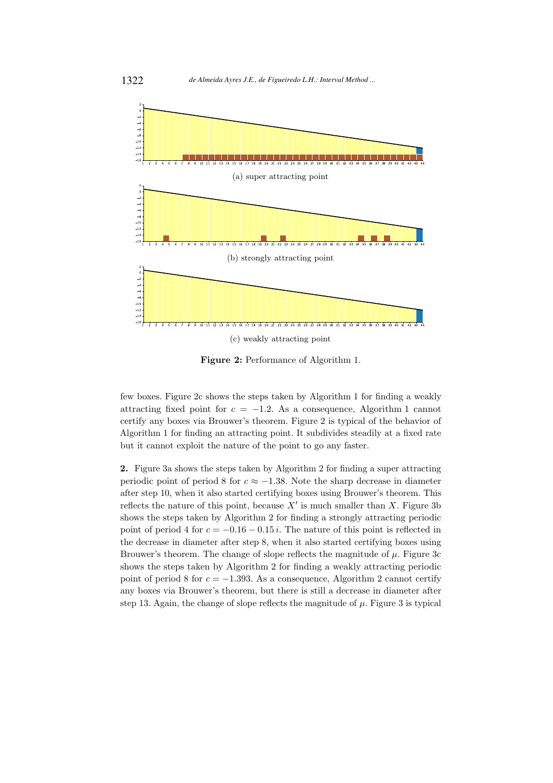

Figure 2: Performance of Algorithm 1.

few boxes. Figure 2c shows the steps taken by Algorithm 1 for finding a weakly attracting fixed point for  $c = -1.2$ . As a consequence, Algorithm 1 cannot certify any boxes via Brouwer's theorem. Figure 2 is typical of the behavior of Algorithm 1 for finding an attracting point. It subdivides steadily at a fixed rate but it cannot exploit the nature of the point to go any faster.

2. Figure 3a shows the steps taken by Algorithm 2 for finding a super attracting periodic point of period 8 for  $c \approx -1.38$ . Note the sharp decrease in diameter after step 10, when it also started certifying boxes using Brouwer's theorem. This reflects the nature of this point, because  $X'$  is much smaller than X. Figure 3b shows the steps taken by Algorithm 2 for finding a strongly attracting periodic point of period 4 for  $c = -0.16 - 0.15 i$ . The nature of this point is reflected in the decrease in diameter after step 8, when it also started certifying boxes using Brouwer's theorem. The change of slope reflects the magnitude of  $\mu$ . Figure 3c shows the steps taken by Algorithm 2 for finding a weakly attracting periodic point of period 8 for  $c = -1.393$ . As a consequence, Algorithm 2 cannot certify any boxes via Brouwer's theorem, but there is still a decrease in diameter after step 13. Again, the change of slope reflects the magnitude of  $\mu$ . Figure 3 is typical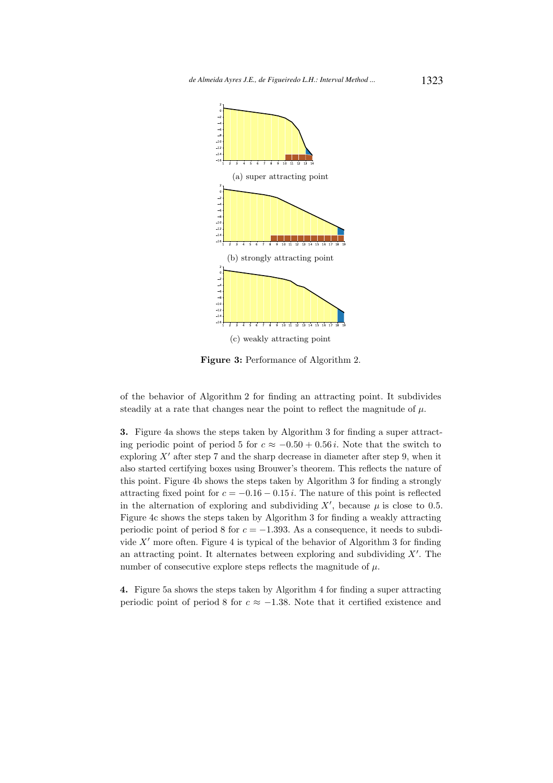

Figure 3: Performance of Algorithm 2.

of the behavior of Algorithm 2 for finding an attracting point. It subdivides steadily at a rate that changes near the point to reflect the magnitude of  $\mu$ .

3. Figure 4a shows the steps taken by Algorithm 3 for finding a super attracting periodic point of period 5 for  $c \approx -0.50 + 0.56 i$ . Note that the switch to exploring  $X'$  after step 7 and the sharp decrease in diameter after step 9, when it also started certifying boxes using Brouwer's theorem. This reflects the nature of this point. Figure 4b shows the steps taken by Algorithm 3 for finding a strongly attracting fixed point for  $c = -0.16 - 0.15 i$ . The nature of this point is reflected in the alternation of exploring and subdividing  $X'$ , because  $\mu$  is close to 0.5. Figure 4c shows the steps taken by Algorithm 3 for finding a weakly attracting periodic point of period 8 for  $c = -1.393$ . As a consequence, it needs to subdivide  $X'$  more often. Figure 4 is typical of the behavior of Algorithm 3 for finding an attracting point. It alternates between exploring and subdividing  $X'$ . The number of consecutive explore steps reflects the magnitude of  $\mu$ .

4. Figure 5a shows the steps taken by Algorithm 4 for finding a super attracting periodic point of period 8 for  $c \approx -1.38$ . Note that it certified existence and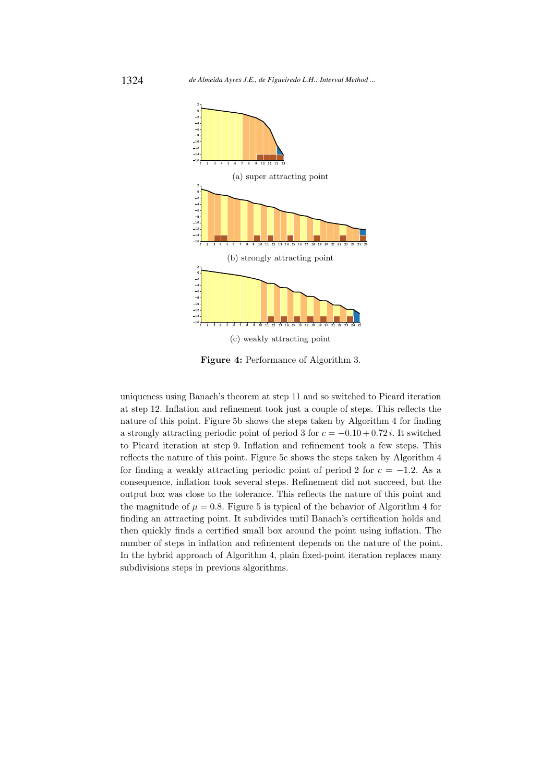

Figure 4: Performance of Algorithm 3.

uniqueness using Banach's theorem at step 11 and so switched to Picard iteration at step 12. Inflation and refinement took just a couple of steps. This reflects the nature of this point. Figure 5b shows the steps taken by Algorithm 4 for finding a strongly attracting periodic point of period 3 for  $c = -0.10 + 0.72 i$ . It switched to Picard iteration at step 9. Inflation and refinement took a few steps. This reflects the nature of this point. Figure 5c shows the steps taken by Algorithm 4 for finding a weakly attracting periodic point of period 2 for  $c = -1.2$ . As a consequence, inflation took several steps. Refinement did not succeed, but the output box was close to the tolerance. This reflects the nature of this point and the magnitude of  $\mu = 0.8$ . Figure 5 is typical of the behavior of Algorithm 4 for finding an attracting point. It subdivides until Banach's certification holds and then quickly finds a certified small box around the point using inflation. The number of steps in inflation and refinement depends on the nature of the point. In the hybrid approach of Algorithm 4, plain fixed-point iteration replaces many subdivisions steps in previous algorithms.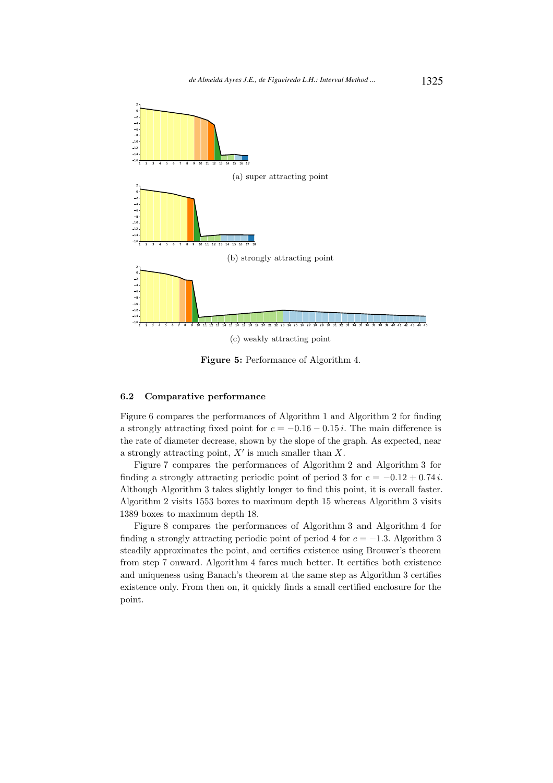

Figure 5: Performance of Algorithm 4.

#### 6.2 Comparative performance

Figure 6 compares the performances of Algorithm 1 and Algorithm 2 for finding a strongly attracting fixed point for  $c = -0.16 - 0.15 i$ . The main difference is the rate of diameter decrease, shown by the slope of the graph. As expected, near a strongly attracting point,  $X'$  is much smaller than  $X$ .

Figure 7 compares the performances of Algorithm 2 and Algorithm 3 for finding a strongly attracting periodic point of period 3 for  $c = -0.12 + 0.74i$ . Although Algorithm 3 takes slightly longer to find this point, it is overall faster. Algorithm 2 visits 1553 boxes to maximum depth 15 whereas Algorithm 3 visits 1389 boxes to maximum depth 18.

Figure 8 compares the performances of Algorithm 3 and Algorithm 4 for finding a strongly attracting periodic point of period 4 for  $c = -1.3$ . Algorithm 3 steadily approximates the point, and certifies existence using Brouwer's theorem from step 7 onward. Algorithm 4 fares much better. It certifies both existence and uniqueness using Banach's theorem at the same step as Algorithm 3 certifies existence only. From then on, it quickly finds a small certified enclosure for the point.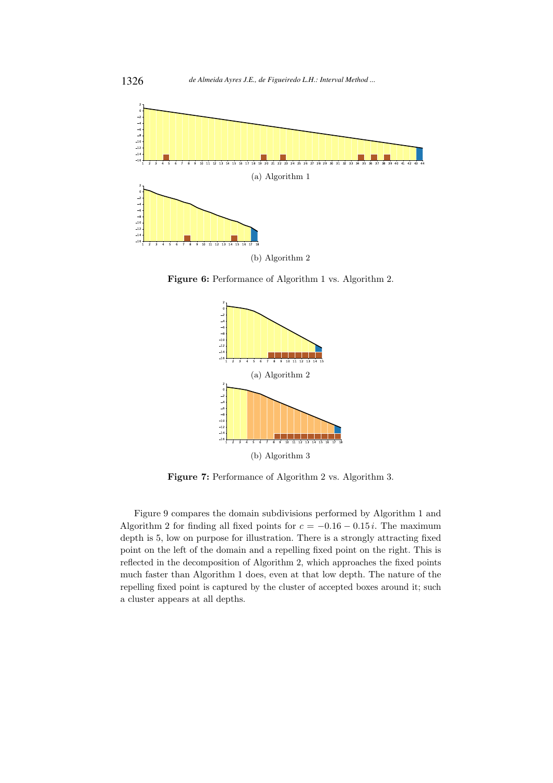

Figure 6: Performance of Algorithm 1 vs. Algorithm 2.



Figure 7: Performance of Algorithm 2 vs. Algorithm 3.

Figure 9 compares the domain subdivisions performed by Algorithm 1 and Algorithm 2 for finding all fixed points for  $c = -0.16 - 0.15 i$ . The maximum depth is 5, low on purpose for illustration. There is a strongly attracting fixed point on the left of the domain and a repelling fixed point on the right. This is reflected in the decomposition of Algorithm 2, which approaches the fixed points much faster than Algorithm 1 does, even at that low depth. The nature of the repelling fixed point is captured by the cluster of accepted boxes around it; such a cluster appears at all depths.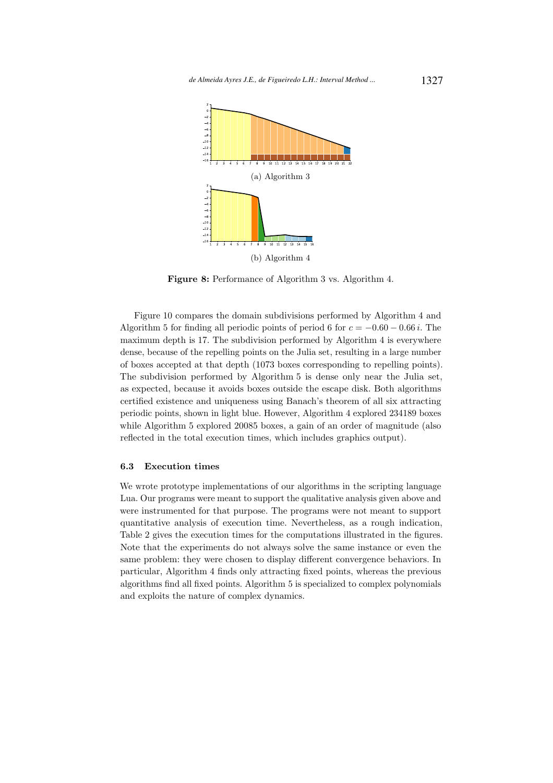

Figure 8: Performance of Algorithm 3 vs. Algorithm 4.

Figure 10 compares the domain subdivisions performed by Algorithm 4 and Algorithm 5 for finding all periodic points of period 6 for  $c = -0.60 - 0.66 i$ . The maximum depth is 17. The subdivision performed by Algorithm 4 is everywhere dense, because of the repelling points on the Julia set, resulting in a large number of boxes accepted at that depth (1073 boxes corresponding to repelling points). The subdivision performed by Algorithm 5 is dense only near the Julia set, as expected, because it avoids boxes outside the escape disk. Both algorithms certified existence and uniqueness using Banach's theorem of all six attracting periodic points, shown in light blue. However, Algorithm 4 explored 234189 boxes while Algorithm 5 explored 20085 boxes, a gain of an order of magnitude (also reflected in the total execution times, which includes graphics output).

#### 6.3 Execution times

We wrote prototype implementations of our algorithms in the scripting language Lua. Our programs were meant to support the qualitative analysis given above and were instrumented for that purpose. The programs were not meant to support quantitative analysis of execution time. Nevertheless, as a rough indication, Table 2 gives the execution times for the computations illustrated in the figures. Note that the experiments do not always solve the same instance or even the same problem: they were chosen to display different convergence behaviors. In particular, Algorithm 4 finds only attracting fixed points, whereas the previous algorithms find all fixed points. Algorithm 5 is specialized to complex polynomials and exploits the nature of complex dynamics.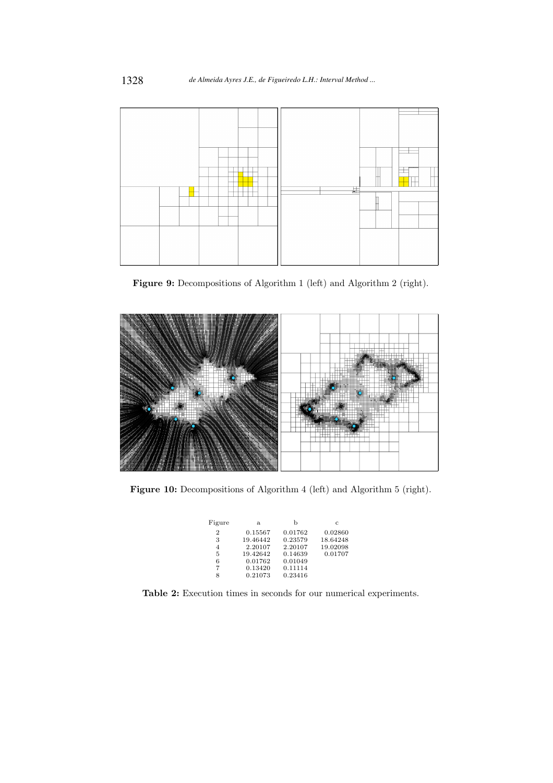

Figure 9: Decompositions of Algorithm 1 (left) and Algorithm 2 (right).



Figure 10: Decompositions of Algorithm 4 (left) and Algorithm 5 (right).

| Figure         | a.       | b       | C        |
|----------------|----------|---------|----------|
| $\overline{2}$ | 0.15567  | 0.01762 | 0.02860  |
| 3              | 19.46442 | 0.23579 | 18.64248 |
| 4              | 2.20107  | 2.20107 | 19.02098 |
| 5              | 19.42642 | 0.14639 | 0.01707  |
| 6              | 0.01762  | 0.01049 |          |
| 7              | 0.13420  | 0.11114 |          |
| 8              | 0.21073  | 0.23416 |          |

Table 2: Execution times in seconds for our numerical experiments.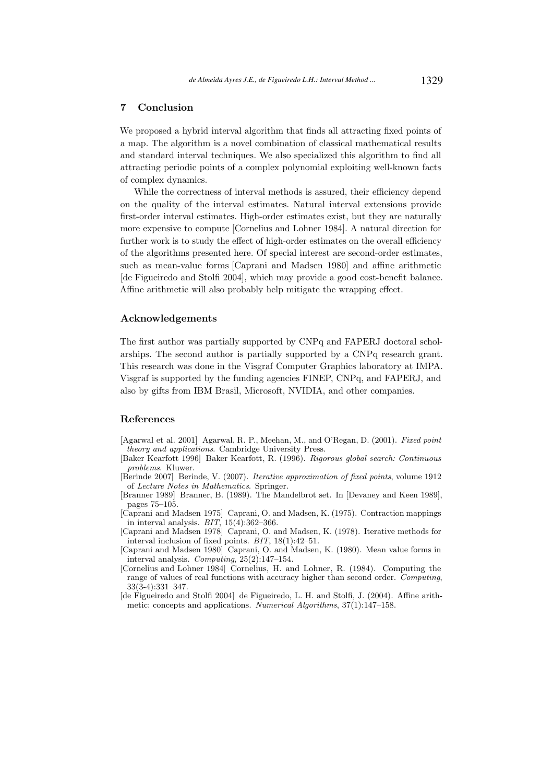## 7 Conclusion

We proposed a hybrid interval algorithm that finds all attracting fixed points of a map. The algorithm is a novel combination of classical mathematical results and standard interval techniques. We also specialized this algorithm to find all attracting periodic points of a complex polynomial exploiting well-known facts of complex dynamics.

While the correctness of interval methods is assured, their efficiency depend on the quality of the interval estimates. Natural interval extensions provide first-order interval estimates. High-order estimates exist, but they are naturally more expensive to compute [Cornelius and Lohner 1984]. A natural direction for further work is to study the effect of high-order estimates on the overall efficiency of the algorithms presented here. Of special interest are second-order estimates, such as mean-value forms [Caprani and Madsen 1980] and affine arithmetic [de Figueiredo and Stolfi 2004], which may provide a good cost-benefit balance. Affine arithmetic will also probably help mitigate the wrapping effect.

#### Acknowledgements

The first author was partially supported by CNPq and FAPERJ doctoral scholarships. The second author is partially supported by a CNPq research grant. This research was done in the Visgraf Computer Graphics laboratory at IMPA. Visgraf is supported by the funding agencies FINEP, CNPq, and FAPERJ, and also by gifts from IBM Brasil, Microsoft, NVIDIA, and other companies.

#### References

- [Agarwal et al. 2001] Agarwal, R. P., Meehan, M., and O'Regan, D. (2001). Fixed point theory and applications. Cambridge University Press.
- [Baker Kearfott 1996] Baker Kearfott, R. (1996). Rigorous global search: Continuous problems. Kluwer.
- [Berinde 2007] Berinde, V. (2007). Iterative approximation of fixed points, volume 1912 of Lecture Notes in Mathematics. Springer.
- [Branner 1989] Branner, B. (1989). The Mandelbrot set. In [Devaney and Keen 1989], pages 75–105.
- [Caprani and Madsen 1975] Caprani, O. and Madsen, K. (1975). Contraction mappings in interval analysis.  $BIT$ ,  $15(4):362-366$ .
- [Caprani and Madsen 1978] Caprani, O. and Madsen, K. (1978). Iterative methods for interval inclusion of fixed points. BIT, 18(1):42–51.
- [Caprani and Madsen 1980] Caprani, O. and Madsen, K. (1980). Mean value forms in interval analysis. Computing, 25(2):147–154.
- [Cornelius and Lohner 1984] Cornelius, H. and Lohner, R. (1984). Computing the range of values of real functions with accuracy higher than second order. Computing, 33(3-4):331–347.
- [de Figueiredo and Stolfi 2004] de Figueiredo, L. H. and Stolfi, J. (2004). Affine arithmetic: concepts and applications. Numerical Algorithms, 37(1):147–158.